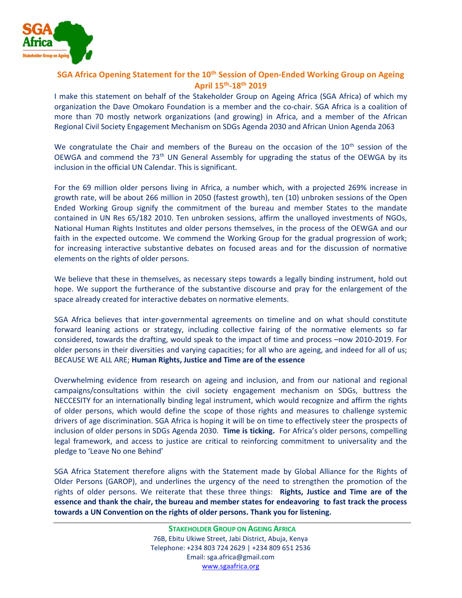

## SGA Africa Opening Statement for the 10<sup>th</sup> Session of Open-Ended Working Group on Ageing April 15th-18th 2019

I make this statement on behalf of the Stakeholder Group on Ageing Africa (SGA Africa) of which my organization the Dave Omokaro Foundation is a member and the co-chair. SGA Africa is a coalition of more than 70 mostly network organizations (and growing) in Africa, and a member of the African Regional Civil Society Engagement Mechanism on SDGs Agenda 2030 and African Union Agenda 2063

We congratulate the Chair and members of the Bureau on the occasion of the  $10<sup>th</sup>$  session of the OEWGA and commend the 73<sup>th</sup> UN General Assembly for upgrading the status of the OEWGA by its inclusion in the official UN Calendar. This is significant.

For the 69 million older persons living in Africa, a number which, with a projected 269% increase in growth rate, will be about 266 million in 2050 (fastest growth), ten (10) unbroken sessions of the Open Ended Working Group signify the commitment of the bureau and member States to the mandate contained in UN Res 65/182 2010. Ten unbroken sessions, affirm the unalloyed investments of NGOs, National Human Rights Institutes and older persons themselves, in the process of the OEWGA and our faith in the expected outcome. We commend the Working Group for the gradual progression of work; for increasing interactive substantive debates on focused areas and for the discussion of normative elements on the rights of older persons.

We believe that these in themselves, as necessary steps towards a legally binding instrument, hold out hope. We support the furtherance of the substantive discourse and pray for the enlargement of the space already created for interactive debates on normative elements.

SGA Africa believes that inter-governmental agreements on timeline and on what should constitute forward leaning actions or strategy, including collective fairing of the normative elements so far considered, towards the drafting, would speak to the impact of time and process –now 2010-2019. For older persons in their diversities and varying capacities; for all who are ageing, and indeed for all of us; BECAUSE WE ALL ARE; Human Rights, Justice and Time are of the essence

Overwhelming evidence from research on ageing and inclusion, and from our national and regional campaigns/consultations within the civil society engagement mechanism on SDGs, buttress the NECCESITY for an internationally binding legal instrument, which would recognize and affirm the rights of older persons, which would define the scope of those rights and measures to challenge systemic drivers of age discrimination. SGA Africa is hoping it will be on time to effectively steer the prospects of inclusion of older persons in SDGs Agenda 2030. Time is ticking. For Africa's older persons, compelling legal framework, and access to justice are critical to reinforcing commitment to universality and the pledge to 'Leave No one Behind'

SGA Africa Statement therefore aligns with the Statement made by Global Alliance for the Rights of Older Persons (GAROP), and underlines the urgency of the need to strengthen the promotion of the rights of older persons. We reiterate that these three things: Rights, Justice and Time are of the essence and thank the chair, the bureau and member states for endeavoring to fast track the process towards a UN Convention on the rights of older persons. Thank you for listening.